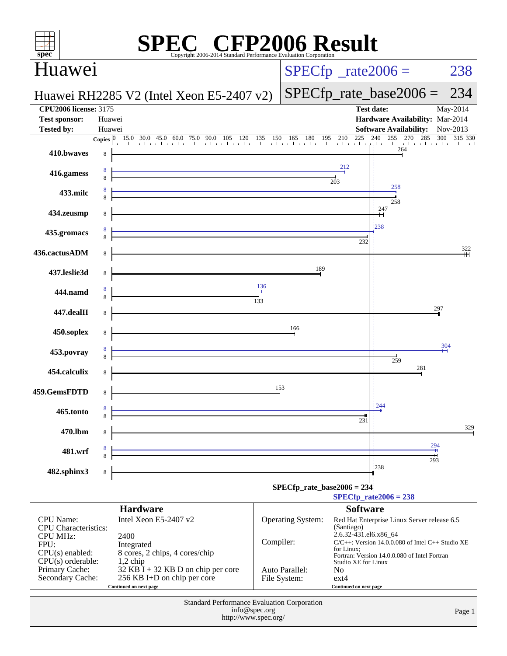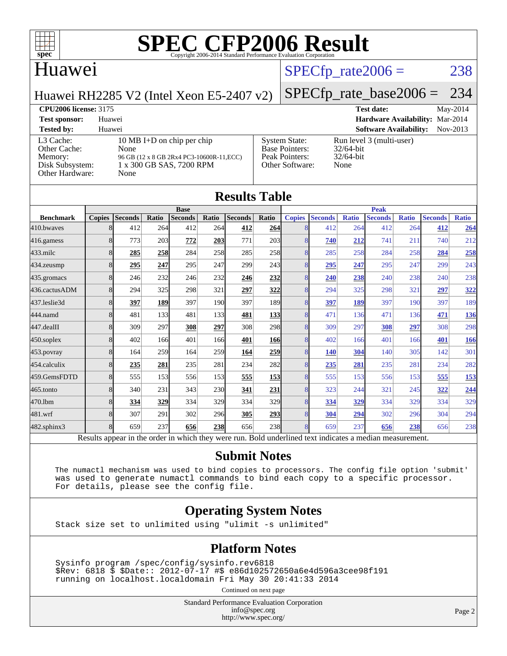

### Huawei

### $SPECTp_rate2006 = 238$

Huawei RH2285 V2 (Intel Xeon E5-2407 v2)

## [SPECfp\\_rate\\_base2006 =](http://www.spec.org/auto/cpu2006/Docs/result-fields.html#SPECfpratebase2006) 234

**[CPU2006 license:](http://www.spec.org/auto/cpu2006/Docs/result-fields.html#CPU2006license)** 3175 **[Test date:](http://www.spec.org/auto/cpu2006/Docs/result-fields.html#Testdate)** May-2014 **[Test sponsor:](http://www.spec.org/auto/cpu2006/Docs/result-fields.html#Testsponsor)** Huawei **[Hardware Availability:](http://www.spec.org/auto/cpu2006/Docs/result-fields.html#HardwareAvailability)** Mar-2014 **[Tested by:](http://www.spec.org/auto/cpu2006/Docs/result-fields.html#Testedby)** Huawei **[Software Availability:](http://www.spec.org/auto/cpu2006/Docs/result-fields.html#SoftwareAvailability)** Nov-2013

### [L3 Cache:](http://www.spec.org/auto/cpu2006/Docs/result-fields.html#L3Cache) 10 MB I+D on chip per chip<br>Other Cache: None [Other Cache:](http://www.spec.org/auto/cpu2006/Docs/result-fields.html#OtherCache) [Memory:](http://www.spec.org/auto/cpu2006/Docs/result-fields.html#Memory) 96 GB (12 x 8 GB 2Rx4 PC3-10600R-11, ECC) [Disk Subsystem:](http://www.spec.org/auto/cpu2006/Docs/result-fields.html#DiskSubsystem) 1 x 300 GB SAS, 7200 RPM [Other Hardware:](http://www.spec.org/auto/cpu2006/Docs/result-fields.html#OtherHardware) None

| C) | <b>System State:</b><br><b>Base Pointers:</b><br>Peak Pointers:<br>Other Software: | Run leve<br>32/64-bit<br>$32/64$ -bit<br>None |
|----|------------------------------------------------------------------------------------|-----------------------------------------------|
|    |                                                                                    |                                               |

vel 3 (multi-user)

| <b>Results Table</b>                                                                                     |               |                |       |                |                  |                |             |               |                |              |                |              |                |              |
|----------------------------------------------------------------------------------------------------------|---------------|----------------|-------|----------------|------------------|----------------|-------------|---------------|----------------|--------------|----------------|--------------|----------------|--------------|
|                                                                                                          | <b>Base</b>   |                |       |                |                  |                | <b>Peak</b> |               |                |              |                |              |                |              |
| <b>Benchmark</b>                                                                                         | <b>Copies</b> | <b>Seconds</b> | Ratio | <b>Seconds</b> | Ratio            | <b>Seconds</b> | Ratio       | <b>Copies</b> | <b>Seconds</b> | <b>Ratio</b> | <b>Seconds</b> | <b>Ratio</b> | <b>Seconds</b> | <b>Ratio</b> |
| 410.bwayes                                                                                               | 8             | 412            | 264   | 412            | 264I             | 412            | 264         | 8             | 412            | 264          | 412            | 264          | 412            | 264          |
| 416.gamess                                                                                               | 8             | 773            | 203   | 772            | 203              | 771            | 203         | 8             | 740            | 212          | 741            | 211          | 740            | 212          |
| 433.milc                                                                                                 | 8             | 285            | 258   | 284            | 258              | 285            | <b>258</b>  | 8             | 285            | 258          | 284            | 258          | 284            | 258          |
| 434.zeusmp                                                                                               | 8             | 295            | 247   | 295            | 247              | 299            | 243         | 8             | 295            | 247          | 295            | 247          | 299            | 243          |
| $435$ .gromacs                                                                                           | 8             | 246            | 232   | 246            | 232              | 246            | 232         | 8             | 240            | 238          | 240            | 238          | 240            | 238          |
| 436.cactusADM                                                                                            | 8             | 294            | 325   | 298            | 321              | 297            | 322         | 8             | 294            | 325          | 298            | 321          | 297            | 322          |
| 437.leslie3d                                                                                             | 8             | 397            | 189   | 397            | 190 <sup>l</sup> | 397            | 189         | 8             | 397            | 189          | 397            | 190          | 397            | 189          |
| 444.namd                                                                                                 | 8             | 481            | 133   | 481            | 133              | 481            | 133         | 8             | 471            | 136          | 471            | 136          | 471            | 136          |
| 447.dealII                                                                                               | 8             | 309            | 297   | 308            | 297              | 308            | <b>298</b>  | 8             | 309            | 297          | 308            | 297          | 308            | 298          |
| $450$ .soplex                                                                                            | 8             | 402            | 166   | 401            | 166              | 401            | <b>166</b>  | 8             | 402            | 166          | 401            | 166          | 401            | <b>166</b>   |
| 453.povray                                                                                               | 8             | 164            | 259   | 164            | 259l             | 164            | 259         | 8             | <b>140</b>     | 304          | 140            | 305          | 142            | 301          |
| 454.calculix                                                                                             | 8             | 235            | 281   | 235            | 281              | 234            | <b>282</b>  | 8             | 235            | 281          | 235            | 281          | 234            | 282          |
| 459.GemsFDTD                                                                                             | 8             | 555            | 153   | 556            | 153              | 555            | 153         | 8             | 555            | 153          | 556            | 153          | 555            | 153          |
| 465.tonto                                                                                                | 8             | 340            | 231   | 343            | <b>230</b>       | 341            | 231         | 8             | 323            | 244          | 321            | 245          | 322            | 244          |
| 470.1bm                                                                                                  | 8             | 334            | 329   | 334            | 329              | 334            | 329         | 8             | 334            | 329          | 334            | 329          | 334            | 329          |
| 481.wrf                                                                                                  | 8             | 307            | 291   | 302            | 296              | 305            | 293         | 8             | 304            | 294          | 302            | 296          | 304            | 294          |
| 482.sphinx3                                                                                              | 8             | 659            | 237   | 656            | <b>238</b>       | 656            | 238         | 8             | 659            | 237          | 656            | 238          | 656            | 238          |
| Results appear in the order in which they were run. Bold underlined text indicates a median measurement. |               |                |       |                |                  |                |             |               |                |              |                |              |                |              |

### **[Submit Notes](http://www.spec.org/auto/cpu2006/Docs/result-fields.html#SubmitNotes)**

 The numactl mechanism was used to bind copies to processors. The config file option 'submit' was used to generate numactl commands to bind each copy to a specific processor. For details, please see the config file.

### **[Operating System Notes](http://www.spec.org/auto/cpu2006/Docs/result-fields.html#OperatingSystemNotes)**

Stack size set to unlimited using "ulimit -s unlimited"

### **[Platform Notes](http://www.spec.org/auto/cpu2006/Docs/result-fields.html#PlatformNotes)**

 Sysinfo program /spec/config/sysinfo.rev6818 \$Rev: 6818 \$ \$Date:: 2012-07-17 #\$ e86d102572650a6e4d596a3cee98f191 running on localhost.localdomain Fri May 30 20:41:33 2014

Continued on next page

Standard Performance Evaluation Corporation [info@spec.org](mailto:info@spec.org) <http://www.spec.org/>

Page 2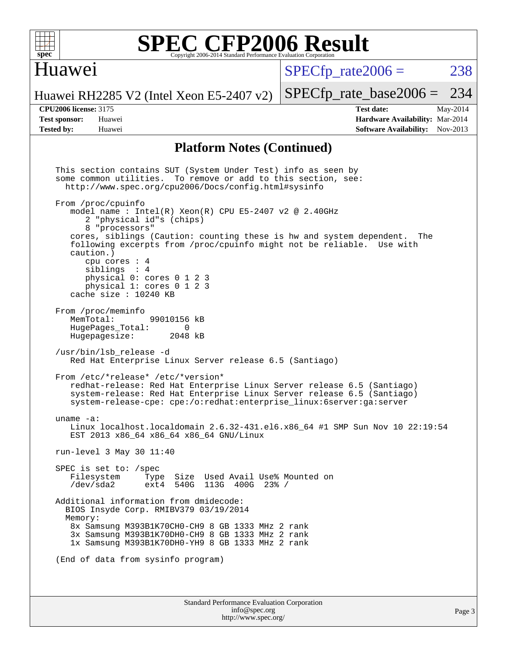

### Huawei

 $SPECTp\_rate2006 = 238$ 

[SPECfp\\_rate\\_base2006 =](http://www.spec.org/auto/cpu2006/Docs/result-fields.html#SPECfpratebase2006) 234

Huawei RH2285 V2 (Intel Xeon E5-2407 v2)

**[CPU2006 license:](http://www.spec.org/auto/cpu2006/Docs/result-fields.html#CPU2006license)** 3175 **[Test date:](http://www.spec.org/auto/cpu2006/Docs/result-fields.html#Testdate)** May-2014 **[Test sponsor:](http://www.spec.org/auto/cpu2006/Docs/result-fields.html#Testsponsor)** Huawei **[Hardware Availability:](http://www.spec.org/auto/cpu2006/Docs/result-fields.html#HardwareAvailability)** Mar-2014 **[Tested by:](http://www.spec.org/auto/cpu2006/Docs/result-fields.html#Testedby)** Huawei **[Software Availability:](http://www.spec.org/auto/cpu2006/Docs/result-fields.html#SoftwareAvailability)** Nov-2013

### **[Platform Notes \(Continued\)](http://www.spec.org/auto/cpu2006/Docs/result-fields.html#PlatformNotes)**

Standard Performance Evaluation Corporation [info@spec.org](mailto:info@spec.org) This section contains SUT (System Under Test) info as seen by some common utilities. To remove or add to this section, see: <http://www.spec.org/cpu2006/Docs/config.html#sysinfo> From /proc/cpuinfo model name : Intel $(R)$  Xeon $(R)$  CPU E5-2407 v2 @ 2.40GHz 2 "physical id"s (chips) 8 "processors" cores, siblings (Caution: counting these is hw and system dependent. The following excerpts from /proc/cpuinfo might not be reliable. Use with caution.) cpu cores : 4 siblings : 4 physical 0: cores 0 1 2 3 physical 1: cores 0 1 2 3 cache size : 10240 KB From /proc/meminfo<br>MemTotal: 99010156 kB HugePages\_Total: 0<br>Hugepagesize: 2048 kB Hugepagesize: /usr/bin/lsb\_release -d Red Hat Enterprise Linux Server release 6.5 (Santiago) From /etc/\*release\* /etc/\*version\* redhat-release: Red Hat Enterprise Linux Server release 6.5 (Santiago) system-release: Red Hat Enterprise Linux Server release 6.5 (Santiago) system-release-cpe: cpe:/o:redhat:enterprise\_linux:6server:ga:server uname -a: Linux localhost.localdomain 2.6.32-431.el6.x86\_64 #1 SMP Sun Nov 10 22:19:54 EST 2013 x86\_64 x86\_64 x86\_64 GNU/Linux run-level 3 May 30 11:40 SPEC is set to: /spec<br>Filesystem Type Type Size Used Avail Use% Mounted on /dev/sda2 ext4 540G 113G 400G 23% / Additional information from dmidecode: BIOS Insyde Corp. RMIBV379 03/19/2014 Memory: 8x Samsung M393B1K70CH0-CH9 8 GB 1333 MHz 2 rank 3x Samsung M393B1K70DH0-CH9 8 GB 1333 MHz 2 rank 1x Samsung M393B1K70DH0-YH9 8 GB 1333 MHz 2 rank (End of data from sysinfo program)

<http://www.spec.org/>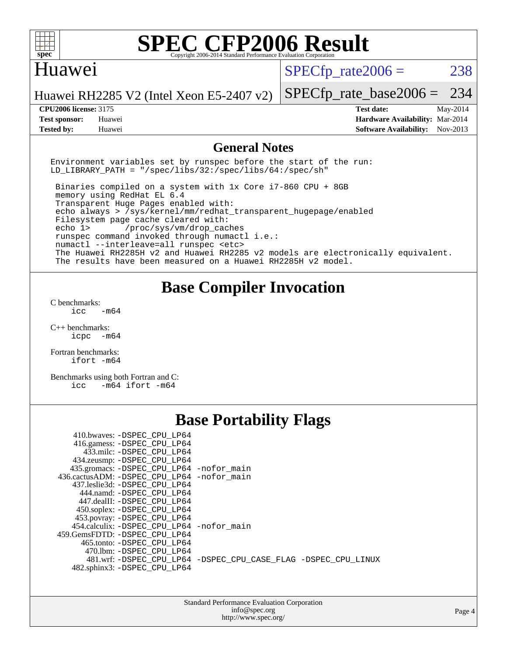

### Huawei

 $SPECTp\_rate2006 = 238$ 

[SPECfp\\_rate\\_base2006 =](http://www.spec.org/auto/cpu2006/Docs/result-fields.html#SPECfpratebase2006) 234

Huawei RH2285 V2 (Intel Xeon E5-2407 v2)

**[Tested by:](http://www.spec.org/auto/cpu2006/Docs/result-fields.html#Testedby)** Huawei **[Software Availability:](http://www.spec.org/auto/cpu2006/Docs/result-fields.html#SoftwareAvailability)** Nov-2013

**[CPU2006 license:](http://www.spec.org/auto/cpu2006/Docs/result-fields.html#CPU2006license)** 3175 **[Test date:](http://www.spec.org/auto/cpu2006/Docs/result-fields.html#Testdate)** May-2014 **[Test sponsor:](http://www.spec.org/auto/cpu2006/Docs/result-fields.html#Testsponsor)** Huawei **[Hardware Availability:](http://www.spec.org/auto/cpu2006/Docs/result-fields.html#HardwareAvailability)** Mar-2014

### **[General Notes](http://www.spec.org/auto/cpu2006/Docs/result-fields.html#GeneralNotes)**

Environment variables set by runspec before the start of the run: LD LIBRARY PATH = "/spec/libs/32:/spec/libs/64:/spec/sh"

 Binaries compiled on a system with 1x Core i7-860 CPU + 8GB memory using RedHat EL 6.4 Transparent Huge Pages enabled with: echo always > /sys/kernel/mm/redhat\_transparent\_hugepage/enabled Filesystem page cache cleared with: echo 1> /proc/sys/vm/drop\_caches runspec command invoked through numactl i.e.: numactl --interleave=all runspec <etc> The Huawei RH2285H v2 and Huawei RH2285 v2 models are electronically equivalent. The results have been measured on a Huawei RH2285H v2 model.

### **[Base Compiler Invocation](http://www.spec.org/auto/cpu2006/Docs/result-fields.html#BaseCompilerInvocation)**

[C benchmarks](http://www.spec.org/auto/cpu2006/Docs/result-fields.html#Cbenchmarks):  $icc$   $-m64$ 

[C++ benchmarks:](http://www.spec.org/auto/cpu2006/Docs/result-fields.html#CXXbenchmarks) [icpc -m64](http://www.spec.org/cpu2006/results/res2014q3/cpu2006-20140719-30528.flags.html#user_CXXbase_intel_icpc_64bit_bedb90c1146cab66620883ef4f41a67e)

[Fortran benchmarks](http://www.spec.org/auto/cpu2006/Docs/result-fields.html#Fortranbenchmarks): [ifort -m64](http://www.spec.org/cpu2006/results/res2014q3/cpu2006-20140719-30528.flags.html#user_FCbase_intel_ifort_64bit_ee9d0fb25645d0210d97eb0527dcc06e)

[Benchmarks using both Fortran and C](http://www.spec.org/auto/cpu2006/Docs/result-fields.html#BenchmarksusingbothFortranandC): [icc -m64](http://www.spec.org/cpu2006/results/res2014q3/cpu2006-20140719-30528.flags.html#user_CC_FCbase_intel_icc_64bit_0b7121f5ab7cfabee23d88897260401c) [ifort -m64](http://www.spec.org/cpu2006/results/res2014q3/cpu2006-20140719-30528.flags.html#user_CC_FCbase_intel_ifort_64bit_ee9d0fb25645d0210d97eb0527dcc06e)

## **[Base Portability Flags](http://www.spec.org/auto/cpu2006/Docs/result-fields.html#BasePortabilityFlags)**

| 410.bwaves: -DSPEC_CPU LP64                |                                                                |
|--------------------------------------------|----------------------------------------------------------------|
| 416.gamess: -DSPEC_CPU_LP64                |                                                                |
| 433.milc: -DSPEC CPU LP64                  |                                                                |
| 434.zeusmp: -DSPEC_CPU_LP64                |                                                                |
| 435.gromacs: -DSPEC_CPU_LP64 -nofor_main   |                                                                |
| 436.cactusADM: -DSPEC CPU LP64 -nofor main |                                                                |
| 437.leslie3d: -DSPEC CPU LP64              |                                                                |
| 444.namd: -DSPEC CPU LP64                  |                                                                |
| 447.dealII: -DSPEC CPU LP64                |                                                                |
| 450.soplex: -DSPEC_CPU_LP64                |                                                                |
| 453.povray: -DSPEC_CPU_LP64                |                                                                |
| 454.calculix: -DSPEC CPU LP64 -nofor main  |                                                                |
| 459.GemsFDTD: -DSPEC CPU LP64              |                                                                |
| 465.tonto: - DSPEC CPU LP64                |                                                                |
| 470.1bm: - DSPEC CPU LP64                  |                                                                |
|                                            | 481.wrf: -DSPEC CPU_LP64 -DSPEC_CPU_CASE_FLAG -DSPEC_CPU_LINUX |
| 482.sphinx3: -DSPEC CPU LP64               |                                                                |

| <b>Standard Performance Evaluation Corporation</b> |
|----------------------------------------------------|
| info@spec.org                                      |
| http://www.spec.org/                               |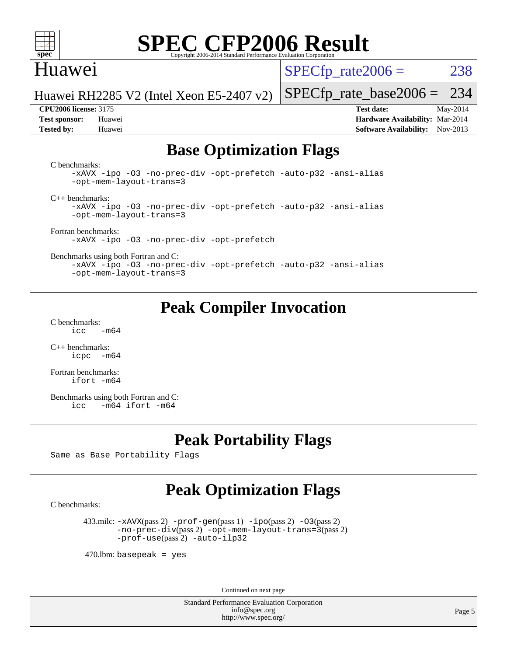

### Huawei

 $SPECTp\_rate2006 = 238$ 

Huawei RH2285 V2 (Intel Xeon E5-2407 v2)

**[Tested by:](http://www.spec.org/auto/cpu2006/Docs/result-fields.html#Testedby)** Huawei **[Software Availability:](http://www.spec.org/auto/cpu2006/Docs/result-fields.html#SoftwareAvailability)** Nov-2013

[SPECfp\\_rate\\_base2006 =](http://www.spec.org/auto/cpu2006/Docs/result-fields.html#SPECfpratebase2006) 234 **[CPU2006 license:](http://www.spec.org/auto/cpu2006/Docs/result-fields.html#CPU2006license)** 3175 **[Test date:](http://www.spec.org/auto/cpu2006/Docs/result-fields.html#Testdate)** May-2014 **[Test sponsor:](http://www.spec.org/auto/cpu2006/Docs/result-fields.html#Testsponsor)** Huawei **[Hardware Availability:](http://www.spec.org/auto/cpu2006/Docs/result-fields.html#HardwareAvailability)** Mar-2014

## **[Base Optimization Flags](http://www.spec.org/auto/cpu2006/Docs/result-fields.html#BaseOptimizationFlags)**

[C benchmarks](http://www.spec.org/auto/cpu2006/Docs/result-fields.html#Cbenchmarks):

[-xAVX](http://www.spec.org/cpu2006/results/res2014q3/cpu2006-20140719-30528.flags.html#user_CCbase_f-xAVX) [-ipo](http://www.spec.org/cpu2006/results/res2014q3/cpu2006-20140719-30528.flags.html#user_CCbase_f-ipo) [-O3](http://www.spec.org/cpu2006/results/res2014q3/cpu2006-20140719-30528.flags.html#user_CCbase_f-O3) [-no-prec-div](http://www.spec.org/cpu2006/results/res2014q3/cpu2006-20140719-30528.flags.html#user_CCbase_f-no-prec-div) [-opt-prefetch](http://www.spec.org/cpu2006/results/res2014q3/cpu2006-20140719-30528.flags.html#user_CCbase_f-opt-prefetch) [-auto-p32](http://www.spec.org/cpu2006/results/res2014q3/cpu2006-20140719-30528.flags.html#user_CCbase_f-auto-p32) [-ansi-alias](http://www.spec.org/cpu2006/results/res2014q3/cpu2006-20140719-30528.flags.html#user_CCbase_f-ansi-alias) [-opt-mem-layout-trans=3](http://www.spec.org/cpu2006/results/res2014q3/cpu2006-20140719-30528.flags.html#user_CCbase_f-opt-mem-layout-trans_a7b82ad4bd7abf52556d4961a2ae94d5)

[C++ benchmarks:](http://www.spec.org/auto/cpu2006/Docs/result-fields.html#CXXbenchmarks)

[-xAVX](http://www.spec.org/cpu2006/results/res2014q3/cpu2006-20140719-30528.flags.html#user_CXXbase_f-xAVX) [-ipo](http://www.spec.org/cpu2006/results/res2014q3/cpu2006-20140719-30528.flags.html#user_CXXbase_f-ipo) [-O3](http://www.spec.org/cpu2006/results/res2014q3/cpu2006-20140719-30528.flags.html#user_CXXbase_f-O3) [-no-prec-div](http://www.spec.org/cpu2006/results/res2014q3/cpu2006-20140719-30528.flags.html#user_CXXbase_f-no-prec-div) [-opt-prefetch](http://www.spec.org/cpu2006/results/res2014q3/cpu2006-20140719-30528.flags.html#user_CXXbase_f-opt-prefetch) [-auto-p32](http://www.spec.org/cpu2006/results/res2014q3/cpu2006-20140719-30528.flags.html#user_CXXbase_f-auto-p32) [-ansi-alias](http://www.spec.org/cpu2006/results/res2014q3/cpu2006-20140719-30528.flags.html#user_CXXbase_f-ansi-alias) [-opt-mem-layout-trans=3](http://www.spec.org/cpu2006/results/res2014q3/cpu2006-20140719-30528.flags.html#user_CXXbase_f-opt-mem-layout-trans_a7b82ad4bd7abf52556d4961a2ae94d5)

[Fortran benchmarks](http://www.spec.org/auto/cpu2006/Docs/result-fields.html#Fortranbenchmarks):

[-xAVX](http://www.spec.org/cpu2006/results/res2014q3/cpu2006-20140719-30528.flags.html#user_FCbase_f-xAVX) [-ipo](http://www.spec.org/cpu2006/results/res2014q3/cpu2006-20140719-30528.flags.html#user_FCbase_f-ipo) [-O3](http://www.spec.org/cpu2006/results/res2014q3/cpu2006-20140719-30528.flags.html#user_FCbase_f-O3) [-no-prec-div](http://www.spec.org/cpu2006/results/res2014q3/cpu2006-20140719-30528.flags.html#user_FCbase_f-no-prec-div) [-opt-prefetch](http://www.spec.org/cpu2006/results/res2014q3/cpu2006-20140719-30528.flags.html#user_FCbase_f-opt-prefetch)

[Benchmarks using both Fortran and C](http://www.spec.org/auto/cpu2006/Docs/result-fields.html#BenchmarksusingbothFortranandC):

[-xAVX](http://www.spec.org/cpu2006/results/res2014q3/cpu2006-20140719-30528.flags.html#user_CC_FCbase_f-xAVX) [-ipo](http://www.spec.org/cpu2006/results/res2014q3/cpu2006-20140719-30528.flags.html#user_CC_FCbase_f-ipo) [-O3](http://www.spec.org/cpu2006/results/res2014q3/cpu2006-20140719-30528.flags.html#user_CC_FCbase_f-O3) [-no-prec-div](http://www.spec.org/cpu2006/results/res2014q3/cpu2006-20140719-30528.flags.html#user_CC_FCbase_f-no-prec-div) [-opt-prefetch](http://www.spec.org/cpu2006/results/res2014q3/cpu2006-20140719-30528.flags.html#user_CC_FCbase_f-opt-prefetch) [-auto-p32](http://www.spec.org/cpu2006/results/res2014q3/cpu2006-20140719-30528.flags.html#user_CC_FCbase_f-auto-p32) [-ansi-alias](http://www.spec.org/cpu2006/results/res2014q3/cpu2006-20140719-30528.flags.html#user_CC_FCbase_f-ansi-alias) [-opt-mem-layout-trans=3](http://www.spec.org/cpu2006/results/res2014q3/cpu2006-20140719-30528.flags.html#user_CC_FCbase_f-opt-mem-layout-trans_a7b82ad4bd7abf52556d4961a2ae94d5)

### **[Peak Compiler Invocation](http://www.spec.org/auto/cpu2006/Docs/result-fields.html#PeakCompilerInvocation)**

[C benchmarks](http://www.spec.org/auto/cpu2006/Docs/result-fields.html#Cbenchmarks):  $\text{icc}$  -m64

[C++ benchmarks:](http://www.spec.org/auto/cpu2006/Docs/result-fields.html#CXXbenchmarks) [icpc -m64](http://www.spec.org/cpu2006/results/res2014q3/cpu2006-20140719-30528.flags.html#user_CXXpeak_intel_icpc_64bit_bedb90c1146cab66620883ef4f41a67e)

[Fortran benchmarks](http://www.spec.org/auto/cpu2006/Docs/result-fields.html#Fortranbenchmarks): [ifort -m64](http://www.spec.org/cpu2006/results/res2014q3/cpu2006-20140719-30528.flags.html#user_FCpeak_intel_ifort_64bit_ee9d0fb25645d0210d97eb0527dcc06e)

[Benchmarks using both Fortran and C](http://www.spec.org/auto/cpu2006/Docs/result-fields.html#BenchmarksusingbothFortranandC): [icc -m64](http://www.spec.org/cpu2006/results/res2014q3/cpu2006-20140719-30528.flags.html#user_CC_FCpeak_intel_icc_64bit_0b7121f5ab7cfabee23d88897260401c) [ifort -m64](http://www.spec.org/cpu2006/results/res2014q3/cpu2006-20140719-30528.flags.html#user_CC_FCpeak_intel_ifort_64bit_ee9d0fb25645d0210d97eb0527dcc06e)

### **[Peak Portability Flags](http://www.spec.org/auto/cpu2006/Docs/result-fields.html#PeakPortabilityFlags)**

Same as Base Portability Flags

### **[Peak Optimization Flags](http://www.spec.org/auto/cpu2006/Docs/result-fields.html#PeakOptimizationFlags)**

[C benchmarks](http://www.spec.org/auto/cpu2006/Docs/result-fields.html#Cbenchmarks):

 433.milc: [-xAVX](http://www.spec.org/cpu2006/results/res2014q3/cpu2006-20140719-30528.flags.html#user_peakPASS2_CFLAGSPASS2_LDFLAGS433_milc_f-xAVX)(pass 2) [-prof-gen](http://www.spec.org/cpu2006/results/res2014q3/cpu2006-20140719-30528.flags.html#user_peakPASS1_CFLAGSPASS1_LDFLAGS433_milc_prof_gen_e43856698f6ca7b7e442dfd80e94a8fc)(pass 1) [-ipo](http://www.spec.org/cpu2006/results/res2014q3/cpu2006-20140719-30528.flags.html#user_peakPASS2_CFLAGSPASS2_LDFLAGS433_milc_f-ipo)(pass 2) [-O3](http://www.spec.org/cpu2006/results/res2014q3/cpu2006-20140719-30528.flags.html#user_peakPASS2_CFLAGSPASS2_LDFLAGS433_milc_f-O3)(pass 2) [-no-prec-div](http://www.spec.org/cpu2006/results/res2014q3/cpu2006-20140719-30528.flags.html#user_peakPASS2_CFLAGSPASS2_LDFLAGS433_milc_f-no-prec-div)(pass 2) [-opt-mem-layout-trans=3](http://www.spec.org/cpu2006/results/res2014q3/cpu2006-20140719-30528.flags.html#user_peakPASS2_CFLAGS433_milc_f-opt-mem-layout-trans_a7b82ad4bd7abf52556d4961a2ae94d5)(pass 2) [-prof-use](http://www.spec.org/cpu2006/results/res2014q3/cpu2006-20140719-30528.flags.html#user_peakPASS2_CFLAGSPASS2_LDFLAGS433_milc_prof_use_bccf7792157ff70d64e32fe3e1250b55)(pass 2) [-auto-ilp32](http://www.spec.org/cpu2006/results/res2014q3/cpu2006-20140719-30528.flags.html#user_peakCOPTIMIZE433_milc_f-auto-ilp32)

 $470$ .lbm: basepeak = yes

Continued on next page

Standard Performance Evaluation Corporation [info@spec.org](mailto:info@spec.org) <http://www.spec.org/>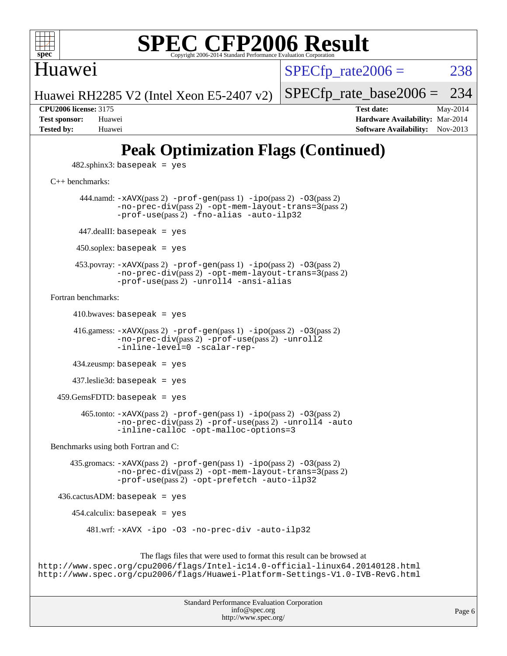

### Huawei

 $SPECTp\_rate2006 = 238$ 

[SPECfp\\_rate\\_base2006 =](http://www.spec.org/auto/cpu2006/Docs/result-fields.html#SPECfpratebase2006) 234

Huawei RH2285 V2 (Intel Xeon E5-2407 v2)

**[CPU2006 license:](http://www.spec.org/auto/cpu2006/Docs/result-fields.html#CPU2006license)** 3175 **[Test date:](http://www.spec.org/auto/cpu2006/Docs/result-fields.html#Testdate)** May-2014 **[Test sponsor:](http://www.spec.org/auto/cpu2006/Docs/result-fields.html#Testsponsor)** Huawei **[Hardware Availability:](http://www.spec.org/auto/cpu2006/Docs/result-fields.html#HardwareAvailability)** Mar-2014 **[Tested by:](http://www.spec.org/auto/cpu2006/Docs/result-fields.html#Testedby)** Huawei **[Software Availability:](http://www.spec.org/auto/cpu2006/Docs/result-fields.html#SoftwareAvailability)** Nov-2013

# **[Peak Optimization Flags \(Continued\)](http://www.spec.org/auto/cpu2006/Docs/result-fields.html#PeakOptimizationFlags)**

 $482$ .sphinx $3$ : basepeak = yes

[C++ benchmarks:](http://www.spec.org/auto/cpu2006/Docs/result-fields.html#CXXbenchmarks)

444.namd:  $-x$ AVX(pass 2)  $-p$ rof-gen(pass 1)  $-p$ ipo(pass 2)  $-03$ (pass 2) [-no-prec-div](http://www.spec.org/cpu2006/results/res2014q3/cpu2006-20140719-30528.flags.html#user_peakPASS2_CXXFLAGSPASS2_LDFLAGS444_namd_f-no-prec-div)(pass 2) [-opt-mem-layout-trans=3](http://www.spec.org/cpu2006/results/res2014q3/cpu2006-20140719-30528.flags.html#user_peakPASS2_CXXFLAGS444_namd_f-opt-mem-layout-trans_a7b82ad4bd7abf52556d4961a2ae94d5)(pass 2) [-prof-use](http://www.spec.org/cpu2006/results/res2014q3/cpu2006-20140719-30528.flags.html#user_peakPASS2_CXXFLAGSPASS2_LDFLAGS444_namd_prof_use_bccf7792157ff70d64e32fe3e1250b55)(pass 2) [-fno-alias](http://www.spec.org/cpu2006/results/res2014q3/cpu2006-20140719-30528.flags.html#user_peakCXXOPTIMIZE444_namd_f-no-alias_694e77f6c5a51e658e82ccff53a9e63a) [-auto-ilp32](http://www.spec.org/cpu2006/results/res2014q3/cpu2006-20140719-30528.flags.html#user_peakCXXOPTIMIZE444_namd_f-auto-ilp32) 447.dealII: basepeak = yes 450.soplex: basepeak = yes 453.povray: [-xAVX](http://www.spec.org/cpu2006/results/res2014q3/cpu2006-20140719-30528.flags.html#user_peakPASS2_CXXFLAGSPASS2_LDFLAGS453_povray_f-xAVX)(pass 2) [-prof-gen](http://www.spec.org/cpu2006/results/res2014q3/cpu2006-20140719-30528.flags.html#user_peakPASS1_CXXFLAGSPASS1_LDFLAGS453_povray_prof_gen_e43856698f6ca7b7e442dfd80e94a8fc)(pass 1) [-ipo](http://www.spec.org/cpu2006/results/res2014q3/cpu2006-20140719-30528.flags.html#user_peakPASS2_CXXFLAGSPASS2_LDFLAGS453_povray_f-ipo)(pass 2) [-O3](http://www.spec.org/cpu2006/results/res2014q3/cpu2006-20140719-30528.flags.html#user_peakPASS2_CXXFLAGSPASS2_LDFLAGS453_povray_f-O3)(pass 2) [-no-prec-div](http://www.spec.org/cpu2006/results/res2014q3/cpu2006-20140719-30528.flags.html#user_peakPASS2_CXXFLAGSPASS2_LDFLAGS453_povray_f-no-prec-div)(pass 2) [-opt-mem-layout-trans=3](http://www.spec.org/cpu2006/results/res2014q3/cpu2006-20140719-30528.flags.html#user_peakPASS2_CXXFLAGS453_povray_f-opt-mem-layout-trans_a7b82ad4bd7abf52556d4961a2ae94d5)(pass 2) [-prof-use](http://www.spec.org/cpu2006/results/res2014q3/cpu2006-20140719-30528.flags.html#user_peakPASS2_CXXFLAGSPASS2_LDFLAGS453_povray_prof_use_bccf7792157ff70d64e32fe3e1250b55)(pass 2) [-unroll4](http://www.spec.org/cpu2006/results/res2014q3/cpu2006-20140719-30528.flags.html#user_peakCXXOPTIMIZE453_povray_f-unroll_4e5e4ed65b7fd20bdcd365bec371b81f) [-ansi-alias](http://www.spec.org/cpu2006/results/res2014q3/cpu2006-20140719-30528.flags.html#user_peakCXXOPTIMIZE453_povray_f-ansi-alias) [Fortran benchmarks](http://www.spec.org/auto/cpu2006/Docs/result-fields.html#Fortranbenchmarks):

 $410.bwaves: basepeak = yes$ 

 416.gamess: [-xAVX](http://www.spec.org/cpu2006/results/res2014q3/cpu2006-20140719-30528.flags.html#user_peakPASS2_FFLAGSPASS2_LDFLAGS416_gamess_f-xAVX)(pass 2) [-prof-gen](http://www.spec.org/cpu2006/results/res2014q3/cpu2006-20140719-30528.flags.html#user_peakPASS1_FFLAGSPASS1_LDFLAGS416_gamess_prof_gen_e43856698f6ca7b7e442dfd80e94a8fc)(pass 1) [-ipo](http://www.spec.org/cpu2006/results/res2014q3/cpu2006-20140719-30528.flags.html#user_peakPASS2_FFLAGSPASS2_LDFLAGS416_gamess_f-ipo)(pass 2) [-O3](http://www.spec.org/cpu2006/results/res2014q3/cpu2006-20140719-30528.flags.html#user_peakPASS2_FFLAGSPASS2_LDFLAGS416_gamess_f-O3)(pass 2) [-no-prec-div](http://www.spec.org/cpu2006/results/res2014q3/cpu2006-20140719-30528.flags.html#user_peakPASS2_FFLAGSPASS2_LDFLAGS416_gamess_f-no-prec-div)(pass 2) [-prof-use](http://www.spec.org/cpu2006/results/res2014q3/cpu2006-20140719-30528.flags.html#user_peakPASS2_FFLAGSPASS2_LDFLAGS416_gamess_prof_use_bccf7792157ff70d64e32fe3e1250b55)(pass 2) [-unroll2](http://www.spec.org/cpu2006/results/res2014q3/cpu2006-20140719-30528.flags.html#user_peakOPTIMIZE416_gamess_f-unroll_784dae83bebfb236979b41d2422d7ec2) [-inline-level=0](http://www.spec.org/cpu2006/results/res2014q3/cpu2006-20140719-30528.flags.html#user_peakOPTIMIZE416_gamess_f-inline-level_318d07a09274ad25e8d15dbfaa68ba50) [-scalar-rep-](http://www.spec.org/cpu2006/results/res2014q3/cpu2006-20140719-30528.flags.html#user_peakOPTIMIZE416_gamess_f-disablescalarrep_abbcad04450fb118e4809c81d83c8a1d)

434.zeusmp: basepeak = yes

437.leslie3d: basepeak = yes

459.GemsFDTD: basepeak = yes

 465.tonto: [-xAVX](http://www.spec.org/cpu2006/results/res2014q3/cpu2006-20140719-30528.flags.html#user_peakPASS2_FFLAGSPASS2_LDFLAGS465_tonto_f-xAVX)(pass 2) [-prof-gen](http://www.spec.org/cpu2006/results/res2014q3/cpu2006-20140719-30528.flags.html#user_peakPASS1_FFLAGSPASS1_LDFLAGS465_tonto_prof_gen_e43856698f6ca7b7e442dfd80e94a8fc)(pass 1) [-ipo](http://www.spec.org/cpu2006/results/res2014q3/cpu2006-20140719-30528.flags.html#user_peakPASS2_FFLAGSPASS2_LDFLAGS465_tonto_f-ipo)(pass 2) [-O3](http://www.spec.org/cpu2006/results/res2014q3/cpu2006-20140719-30528.flags.html#user_peakPASS2_FFLAGSPASS2_LDFLAGS465_tonto_f-O3)(pass 2) [-no-prec-div](http://www.spec.org/cpu2006/results/res2014q3/cpu2006-20140719-30528.flags.html#user_peakPASS2_FFLAGSPASS2_LDFLAGS465_tonto_f-no-prec-div)(pass 2) [-prof-use](http://www.spec.org/cpu2006/results/res2014q3/cpu2006-20140719-30528.flags.html#user_peakPASS2_FFLAGSPASS2_LDFLAGS465_tonto_prof_use_bccf7792157ff70d64e32fe3e1250b55)(pass 2) [-unroll4](http://www.spec.org/cpu2006/results/res2014q3/cpu2006-20140719-30528.flags.html#user_peakOPTIMIZE465_tonto_f-unroll_4e5e4ed65b7fd20bdcd365bec371b81f) [-auto](http://www.spec.org/cpu2006/results/res2014q3/cpu2006-20140719-30528.flags.html#user_peakOPTIMIZE465_tonto_f-auto) [-inline-calloc](http://www.spec.org/cpu2006/results/res2014q3/cpu2006-20140719-30528.flags.html#user_peakOPTIMIZE465_tonto_f-inline-calloc) [-opt-malloc-options=3](http://www.spec.org/cpu2006/results/res2014q3/cpu2006-20140719-30528.flags.html#user_peakOPTIMIZE465_tonto_f-opt-malloc-options_13ab9b803cf986b4ee62f0a5998c2238)

[Benchmarks using both Fortran and C](http://www.spec.org/auto/cpu2006/Docs/result-fields.html#BenchmarksusingbothFortranandC):

 435.gromacs: [-xAVX](http://www.spec.org/cpu2006/results/res2014q3/cpu2006-20140719-30528.flags.html#user_peakPASS2_CFLAGSPASS2_FFLAGSPASS2_LDFLAGS435_gromacs_f-xAVX)(pass 2) [-prof-gen](http://www.spec.org/cpu2006/results/res2014q3/cpu2006-20140719-30528.flags.html#user_peakPASS1_CFLAGSPASS1_FFLAGSPASS1_LDFLAGS435_gromacs_prof_gen_e43856698f6ca7b7e442dfd80e94a8fc)(pass 1) [-ipo](http://www.spec.org/cpu2006/results/res2014q3/cpu2006-20140719-30528.flags.html#user_peakPASS2_CFLAGSPASS2_FFLAGSPASS2_LDFLAGS435_gromacs_f-ipo)(pass 2) [-O3](http://www.spec.org/cpu2006/results/res2014q3/cpu2006-20140719-30528.flags.html#user_peakPASS2_CFLAGSPASS2_FFLAGSPASS2_LDFLAGS435_gromacs_f-O3)(pass 2) [-no-prec-div](http://www.spec.org/cpu2006/results/res2014q3/cpu2006-20140719-30528.flags.html#user_peakPASS2_CFLAGSPASS2_FFLAGSPASS2_LDFLAGS435_gromacs_f-no-prec-div)(pass 2) [-opt-mem-layout-trans=3](http://www.spec.org/cpu2006/results/res2014q3/cpu2006-20140719-30528.flags.html#user_peakPASS2_CFLAGS435_gromacs_f-opt-mem-layout-trans_a7b82ad4bd7abf52556d4961a2ae94d5)(pass 2) [-prof-use](http://www.spec.org/cpu2006/results/res2014q3/cpu2006-20140719-30528.flags.html#user_peakPASS2_CFLAGSPASS2_FFLAGSPASS2_LDFLAGS435_gromacs_prof_use_bccf7792157ff70d64e32fe3e1250b55)(pass 2) [-opt-prefetch](http://www.spec.org/cpu2006/results/res2014q3/cpu2006-20140719-30528.flags.html#user_peakOPTIMIZE435_gromacs_f-opt-prefetch) [-auto-ilp32](http://www.spec.org/cpu2006/results/res2014q3/cpu2006-20140719-30528.flags.html#user_peakCOPTIMIZE435_gromacs_f-auto-ilp32)

436.cactusADM: basepeak = yes

454.calculix: basepeak = yes

481.wrf: [-xAVX](http://www.spec.org/cpu2006/results/res2014q3/cpu2006-20140719-30528.flags.html#user_peakOPTIMIZE481_wrf_f-xAVX) [-ipo](http://www.spec.org/cpu2006/results/res2014q3/cpu2006-20140719-30528.flags.html#user_peakOPTIMIZE481_wrf_f-ipo) [-O3](http://www.spec.org/cpu2006/results/res2014q3/cpu2006-20140719-30528.flags.html#user_peakOPTIMIZE481_wrf_f-O3) [-no-prec-div](http://www.spec.org/cpu2006/results/res2014q3/cpu2006-20140719-30528.flags.html#user_peakOPTIMIZE481_wrf_f-no-prec-div) [-auto-ilp32](http://www.spec.org/cpu2006/results/res2014q3/cpu2006-20140719-30528.flags.html#user_peakCOPTIMIZE481_wrf_f-auto-ilp32)

The flags files that were used to format this result can be browsed at

<http://www.spec.org/cpu2006/flags/Intel-ic14.0-official-linux64.20140128.html> <http://www.spec.org/cpu2006/flags/Huawei-Platform-Settings-V1.0-IVB-RevG.html>

| <b>Standard Performance Evaluation Corporation</b> |
|----------------------------------------------------|
| info@spec.org                                      |
| http://www.spec.org/                               |